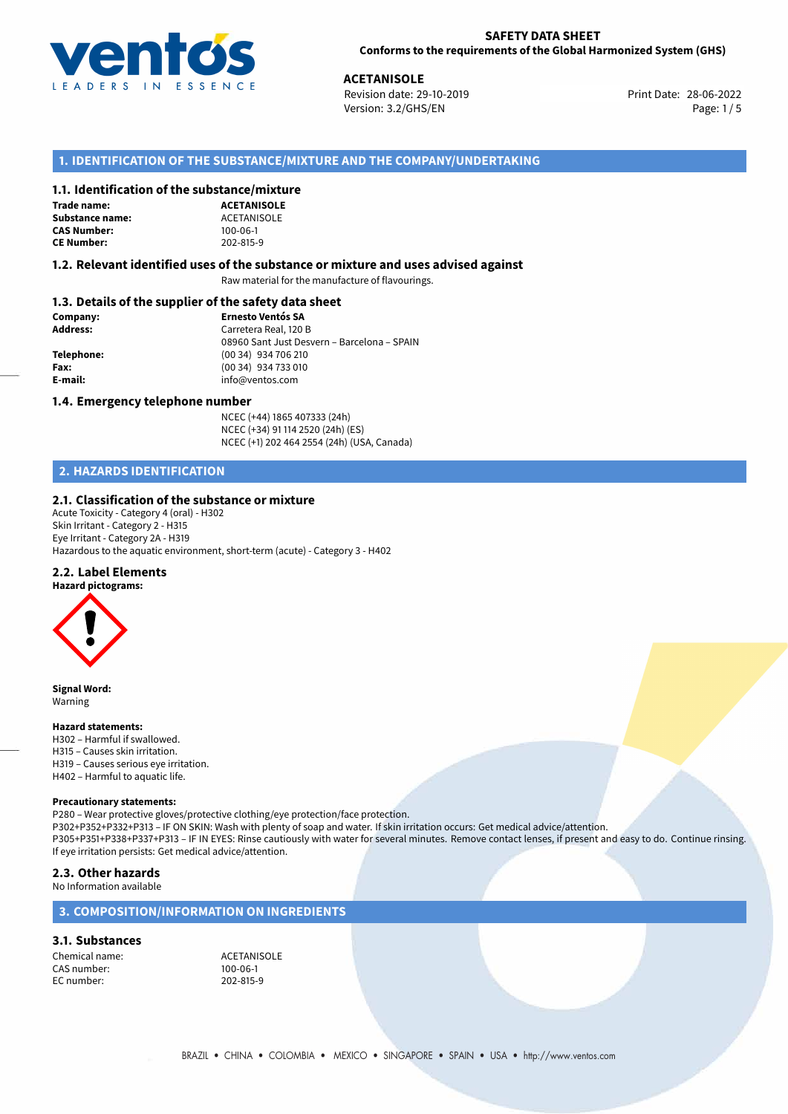

28-06-2022 **ACETANISOLE** Revision date: 29-10-2019 Print Date: Version: 3.2/GHS/EN Page: 1/5

# **1. IDENTIFICATION OF THE SUBSTANCE/MIXTURE AND THE COMPANY/UNDERTAKING**

## **1.1. Identification of the substance/mixture**

**Trade name: Substance name:** ACETANISOLE<br> **CAS Number:** 100-06-1 **CAS Number: CE Number:** 202-815-9

**ACETANISOLE**

## **1.2. Relevant identified uses of the substance or mixture and uses advised against**

Raw material for the manufacture of flavourings.

## **1.3. Details of the supplier of the safety data sheet**

| Company:        | <b>Ernesto Ventós SA</b>                    |  |
|-----------------|---------------------------------------------|--|
| <b>Address:</b> | Carretera Real, 120 B                       |  |
|                 | 08960 Sant Just Desvern - Barcelona - SPAIN |  |
| Telephone:      | (00 34) 934 706 210                         |  |
| Fax:            | (00 34) 934 733 010                         |  |
| E-mail:         | info@ventos.com                             |  |
|                 |                                             |  |

## **1.4. Emergency telephone number**

NCEC (+44) 1865 407333 (24h) NCEC (+34) 91 114 2520 (24h) (ES) NCEC (+1) 202 464 2554 (24h) (USA, Canada)

# **2. HAZARDS IDENTIFICATION**

## **2.1. Classification of the substance or mixture**

Acute Toxicity - Category 4 (oral) - H302 Skin Irritant - Category 2 - H315 Eye Irritant - Category 2A - H319 Hazardous to the aquatic environment, short-term (acute) - Category 3 - H402

## **2.2. Label Elements**

### **Hazard pictograms:**



**Signal Word:** Warning

## **Hazard statements:**

- H302 Harmful if swallowed. H315 – Causes skin irritation. H319 – Causes serious eye irritation.
- H402 Harmful to aquatic life.

## **Precautionary statements:**

P280 – Wear protective gloves/protective clothing/eye protection/face protection. P302+P352+P332+P313 – IF ON SKIN: Wash with plenty of soap and water. If skin irritation occurs: Get medical advice/attention. P305+P351+P338+P337+P313 – IF IN EYES: Rinse cautiously with water for several minutes. Remove contact lenses, if present and easy to do. Continue rinsing. If eye irritation persists: Get medical advice/attention.

## **2.3. Other hazards**

No Information available

# **3. COMPOSITION/INFORMATION ON INGREDIENTS**

## **3.1. Substances**

Chemical name:<br>
CAS number: 
100-06-1 CAS number: 100-06-1<br>EC number: 202-815-9 EC number: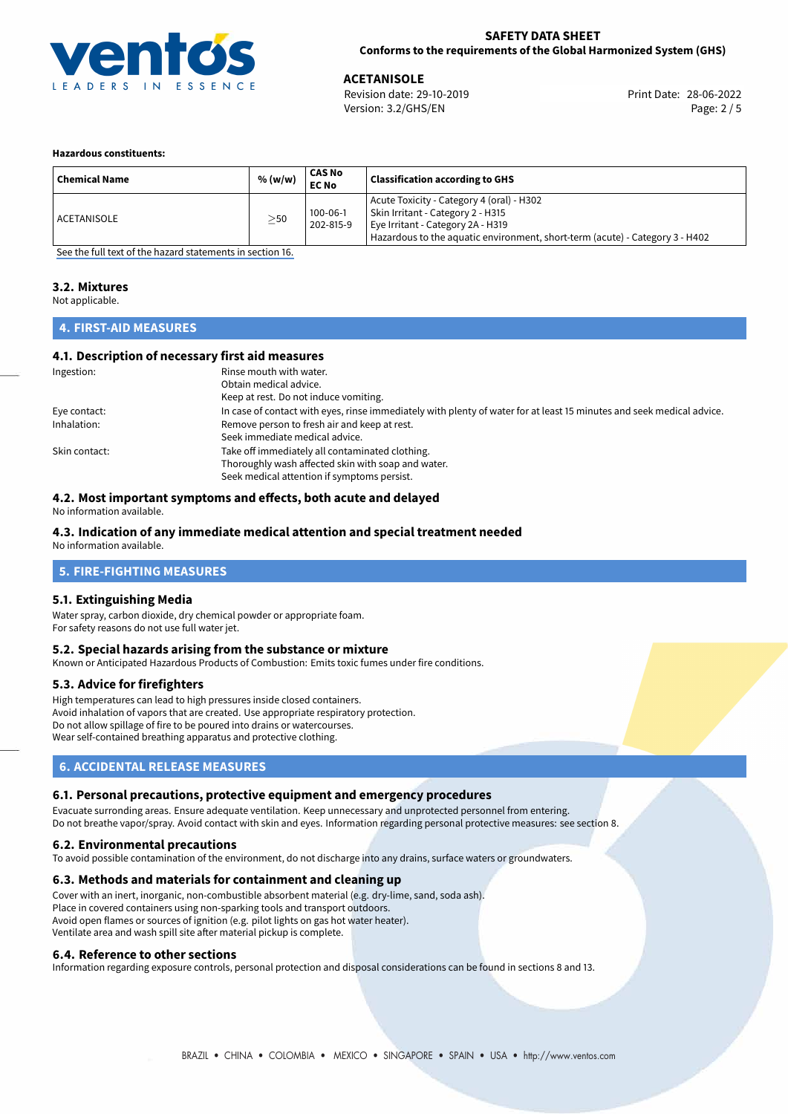

28-06-2022 **ACETANISOLE** Revision date: 29-10-2019 Print Date: Version: 3.2/GHS/EN Page: 2 / 5

## **Hazardous constituents:**

| <b>Chemical Name</b> | % (w/w)   | CAS No<br><b>EC No</b>      | <b>Classification according to GHS</b>                                                                                                                                                              |
|----------------------|-----------|-----------------------------|-----------------------------------------------------------------------------------------------------------------------------------------------------------------------------------------------------|
| ACETANISOLE          | $\geq$ 50 | $100 - 06 - 1$<br>202-815-9 | Acute Toxicity - Category 4 (oral) - H302<br>Skin Irritant - Category 2 - H315<br>Eye Irritant - Category 2A - H319<br>Hazardous to the aquatic environment, short-term (acute) - Category 3 - H402 |

[See the full text of the hazard statements in section 16.](#page-4-0)

# **3.2. Mixtures**

Not applicable.

# **4. FIRST-AID MEASURES**

## **4.1. Description of necessary first aid measures**

| Ingestion:    | Rinse mouth with water.                                                                                               |
|---------------|-----------------------------------------------------------------------------------------------------------------------|
|               | Obtain medical advice.                                                                                                |
|               | Keep at rest. Do not induce vomiting.                                                                                 |
| Eye contact:  | In case of contact with eyes, rinse immediately with plenty of water for at least 15 minutes and seek medical advice. |
| Inhalation:   | Remove person to fresh air and keep at rest.                                                                          |
|               | Seek immediate medical advice.                                                                                        |
| Skin contact: | Take off immediately all contaminated clothing.                                                                       |
|               | Thoroughly wash affected skin with soap and water.                                                                    |
|               | Seek medical attention if symptoms persist.                                                                           |

# **4.2. Most important symptoms and effects, both acute and delayed**

No information available.

# **4.3. Indication of any immediate medical attention and special treatment needed**

No information available.

## **5. FIRE-FIGHTING MEASURES**

## **5.1. Extinguishing Media**

Water spray, carbon dioxide, dry chemical powder or appropriate foam. For safety reasons do not use full water jet.

## **5.2. Special hazards arising from the substance or mixture**

Known or Anticipated Hazardous Products of Combustion: Emits toxic fumes under fire conditions.

## **5.3. Advice for firefighters**

High temperatures can lead to high pressures inside closed containers. Avoid inhalation of vapors that are created. Use appropriate respiratory protection. Do not allow spillage of fire to be poured into drains or watercourses. Wear self-contained breathing apparatus and protective clothing.

# **6. ACCIDENTAL RELEASE MEASURES**

## **6.1. Personal precautions, protective equipment and emergency procedures**

Evacuate surronding areas. Ensure adequate ventilation. Keep unnecessary and unprotected personnel from entering. Do not breathe vapor/spray. Avoid contact with skin and eyes. Information regarding personal protective measures: see section 8.

## **6.2. Environmental precautions**

To avoid possible contamination of the environment, do not discharge into any drains, surface waters or groundwaters.

## **6.3. Methods and materials for containment and cleaning up**

Cover with an inert, inorganic, non-combustible absorbent material (e.g. dry-lime, sand, soda ash). Place in covered containers using non-sparking tools and transport outdoors. Avoid open flames or sources of ignition (e.g. pilot lights on gas hot water heater). Ventilate area and wash spill site after material pickup is complete.

## **6.4. Reference to other sections**

Information regarding exposure controls, personal protection and disposal considerations can be found in sections 8 and 13.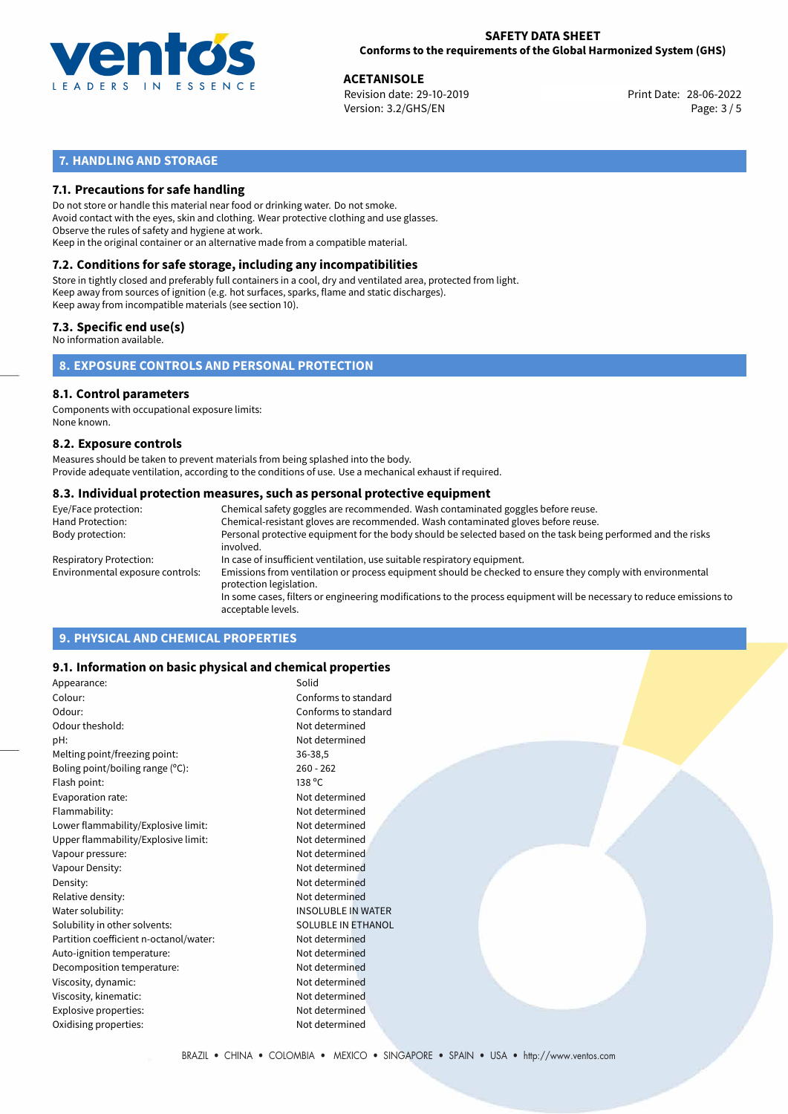

28-06-2022 **ACETANISOLE** Revision date: 29-10-2019 Print Date: Version: 3.2/GHS/EN Page: 3 / 5

# **7. HANDLING AND STORAGE**

## **7.1. Precautions for safe handling**

Do not store or handle this material near food or drinking water. Do not smoke. Avoid contact with the eyes, skin and clothing. Wear protective clothing and use glasses. Observe the rules of safety and hygiene at work. Keep in the original container or an alternative made from a compatible material.

# **7.2. Conditions for safe storage, including any incompatibilities**

Store in tightly closed and preferably full containers in a cool, dry and ventilated area, protected from light. Keep away from sources of ignition (e.g. hot surfaces, sparks, flame and static discharges). Keep away from incompatible materials (see section 10).

## **7.3. Specific end use(s)**

No information available.

**8. EXPOSURE CONTROLS AND PERSONAL PROTECTION**

# **8.1. Control parameters**

Components with occupational exposure limits: None known.

## **8.2. Exposure controls**

Measures should be taken to prevent materials from being splashed into the body. Provide adequate ventilation, according to the conditions of use. Use a mechanical exhaust if required.

## **8.3. Individual protection measures, such as personal protective equipment**

| Eye/Face protection:             | Chemical safety goggles are recommended. Wash contaminated goggles before reuse.                                                            |
|----------------------------------|---------------------------------------------------------------------------------------------------------------------------------------------|
| Hand Protection:                 | Chemical-resistant gloves are recommended. Wash contaminated gloves before reuse.                                                           |
| Body protection:                 | Personal protective equipment for the body should be selected based on the task being performed and the risks<br>involved.                  |
| Respiratory Protection:          | In case of insufficient ventilation, use suitable respiratory equipment.                                                                    |
| Environmental exposure controls: | Emissions from ventilation or process equipment should be checked to ensure they comply with environmental<br>protection legislation.       |
|                                  | In some cases, filters or engineering modifications to the process equipment will be necessary to reduce emissions to<br>acceptable levels. |
|                                  |                                                                                                                                             |

# **9. PHYSICAL AND CHEMICAL PROPERTIES**

## **9.1. Information on basic physical and chemical properties**

| Appearance:                            | Solid                     |
|----------------------------------------|---------------------------|
| Colour:                                | Conforms to standard      |
| Odour:                                 | Conforms to standard      |
| Odour theshold:                        | Not determined            |
| pH:                                    | Not determined            |
| Melting point/freezing point:          | 36-38,5                   |
| Boling point/boiling range (°C):       | $260 - 262$               |
| Flash point:                           | 138 °C                    |
| Evaporation rate:                      | Not determined            |
| Flammability:                          | Not determined            |
| Lower flammability/Explosive limit:    | Not determined            |
| Upper flammability/Explosive limit:    | Not determined            |
| Vapour pressure:                       | Not determined            |
| Vapour Density:                        | Not determined            |
| Density:                               | Not determined            |
| Relative density:                      | Not determined            |
| Water solubility:                      | <b>INSOLUBLE IN WATER</b> |
| Solubility in other solvents:          | <b>SOLUBLE IN ETHANOL</b> |
| Partition coefficient n-octanol/water: | Not determined            |
| Auto-ignition temperature:             | Not determined            |
| Decomposition temperature:             | Not determined            |
| Viscosity, dynamic:                    | Not determined            |
| Viscosity, kinematic:                  | Not determined            |
| Explosive properties:                  | Not determined            |
| Oxidising properties:                  | Not determined            |
|                                        |                           |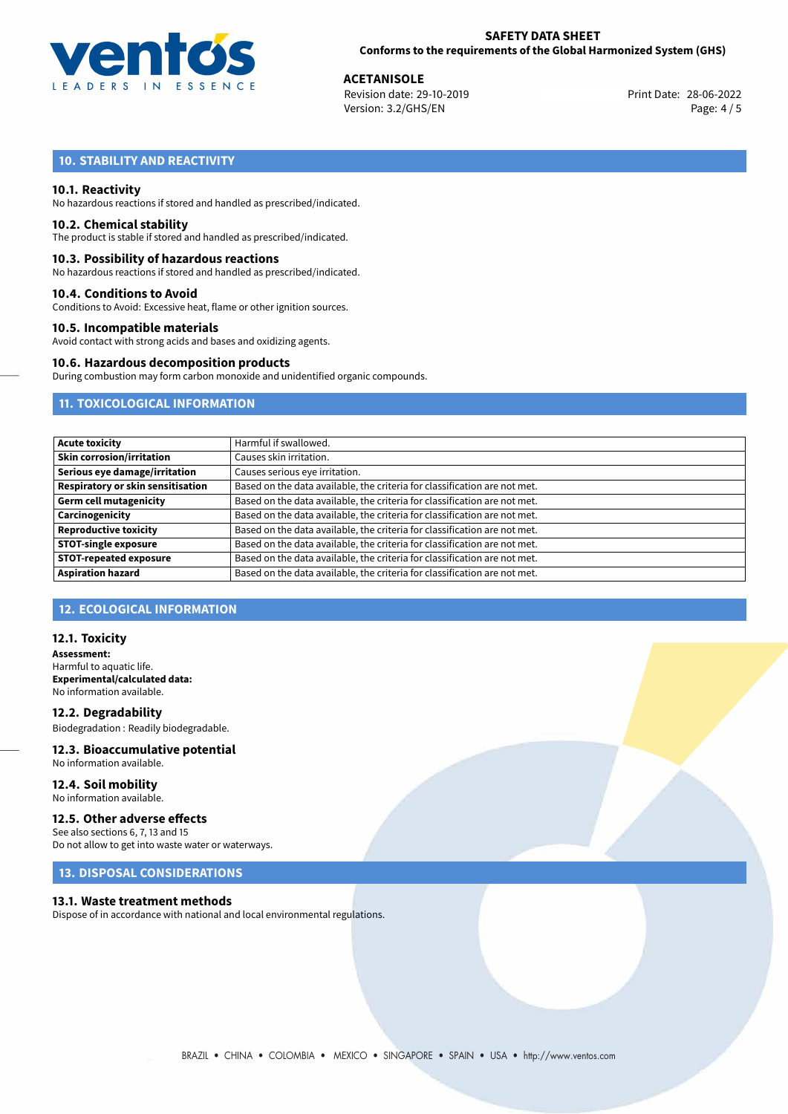

28-06-2022 **ACETANISOLE** Revision date: 29-10-2019 Print Date: Version: 3.2/GHS/EN Page: 4 / 5

# **10. STABILITY AND REACTIVITY**

## **10.1. Reactivity**

No hazardous reactions if stored and handled as prescribed/indicated.

## **10.2. Chemical stability**

The product is stable if stored and handled as prescribed/indicated.

## **10.3. Possibility of hazardous reactions**

No hazardous reactions if stored and handled as prescribed/indicated.

## **10.4. Conditions to Avoid**

Conditions to Avoid: Excessive heat, flame or other ignition sources.

## **10.5. Incompatible materials**

Avoid contact with strong acids and bases and oxidizing agents.

## **10.6. Hazardous decomposition products**

During combustion may form carbon monoxide and unidentified organic compounds.

# **11. TOXICOLOGICAL INFORMATION**

| <b>Acute toxicity</b>             | Harmful if swallowed.                                                     |
|-----------------------------------|---------------------------------------------------------------------------|
| <b>Skin corrosion/irritation</b>  | Causes skin irritation.                                                   |
| Serious eye damage/irritation     | Causes serious eye irritation.                                            |
| Respiratory or skin sensitisation | Based on the data available, the criteria for classification are not met. |
| <b>Germ cell mutagenicity</b>     | Based on the data available, the criteria for classification are not met. |
| Carcinogenicity                   | Based on the data available, the criteria for classification are not met. |
| <b>Reproductive toxicity</b>      | Based on the data available, the criteria for classification are not met. |
| <b>STOT-single exposure</b>       | Based on the data available, the criteria for classification are not met. |
| <b>STOT-repeated exposure</b>     | Based on the data available, the criteria for classification are not met. |
| <b>Aspiration hazard</b>          | Based on the data available, the criteria for classification are not met. |

# **12. ECOLOGICAL INFORMATION**

## **12.1. Toxicity**

**Assessment:** Harmful to aquatic life. **Experimental/calculated data:** No information available.

**12.2. Degradability** Biodegradation : Readily biodegradable.

## **12.3. Bioaccumulative potential** No information available.

**12.4. Soil mobility** No information available.

# **12.5. Other adverse effects**

See also sections 6, 7, 13 and 15 Do not allow to get into waste water or waterways.

## **13. DISPOSAL CONSIDERATIONS**

## **13.1. Waste treatment methods**

Dispose of in accordance with national and local environmental regulations.